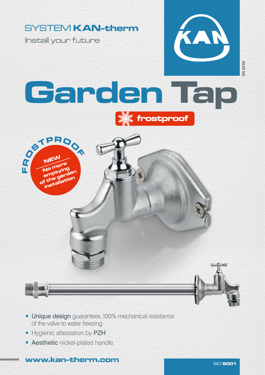## SYSTEM KAN-therm

Install your future

OSTPROOM

NEW No more No ntying<br>emptying empty" den i the gration

 $\mathbf{r}$ **D** 



## Garden Tap





- Hygienic attestation by PZH
- **Aesthetic nickel-plated handle**

www.kan-therm.com